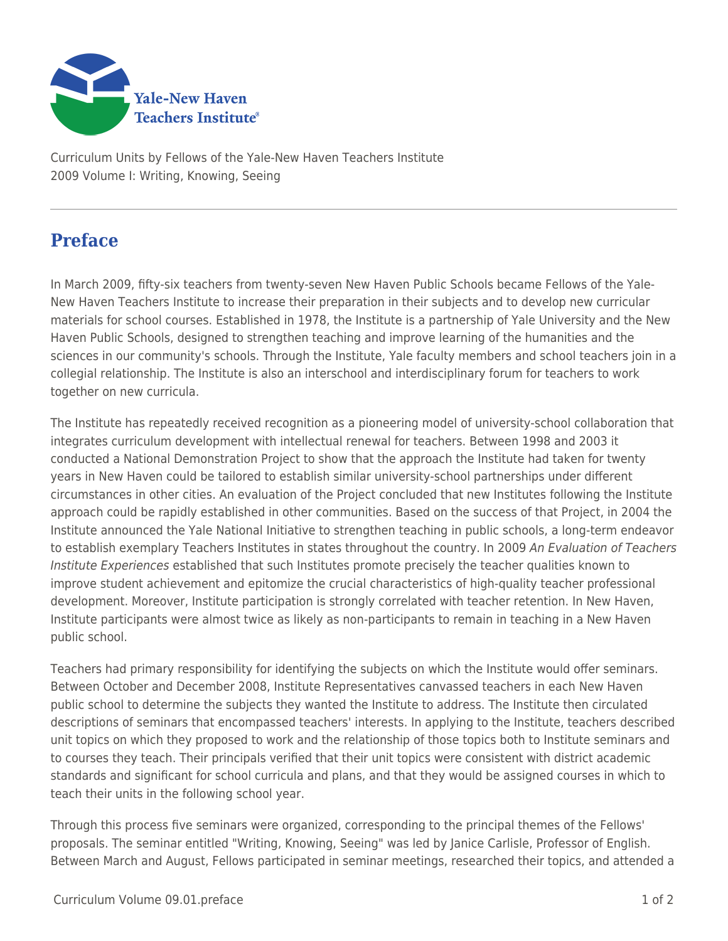

Curriculum Units by Fellows of the Yale-New Haven Teachers Institute 2009 Volume I: Writing, Knowing, Seeing

## **Preface**

In March 2009, fifty-six teachers from twenty-seven New Haven Public Schools became Fellows of the Yale-New Haven Teachers Institute to increase their preparation in their subjects and to develop new curricular materials for school courses. Established in 1978, the Institute is a partnership of Yale University and the New Haven Public Schools, designed to strengthen teaching and improve learning of the humanities and the sciences in our community's schools. Through the Institute, Yale faculty members and school teachers join in a collegial relationship. The Institute is also an interschool and interdisciplinary forum for teachers to work together on new curricula.

The Institute has repeatedly received recognition as a pioneering model of university-school collaboration that integrates curriculum development with intellectual renewal for teachers. Between 1998 and 2003 it conducted a National Demonstration Project to show that the approach the Institute had taken for twenty years in New Haven could be tailored to establish similar university-school partnerships under different circumstances in other cities. An evaluation of the Project concluded that new Institutes following the Institute approach could be rapidly established in other communities. Based on the success of that Project, in 2004 the Institute announced the Yale National Initiative to strengthen teaching in public schools, a long-term endeavor to establish exemplary Teachers Institutes in states throughout the country. In 2009 An Evaluation of Teachers Institute Experiences established that such Institutes promote precisely the teacher qualities known to improve student achievement and epitomize the crucial characteristics of high-quality teacher professional development. Moreover, Institute participation is strongly correlated with teacher retention. In New Haven, Institute participants were almost twice as likely as non-participants to remain in teaching in a New Haven public school.

Teachers had primary responsibility for identifying the subjects on which the Institute would offer seminars. Between October and December 2008, Institute Representatives canvassed teachers in each New Haven public school to determine the subjects they wanted the Institute to address. The Institute then circulated descriptions of seminars that encompassed teachers' interests. In applying to the Institute, teachers described unit topics on which they proposed to work and the relationship of those topics both to Institute seminars and to courses they teach. Their principals verified that their unit topics were consistent with district academic standards and significant for school curricula and plans, and that they would be assigned courses in which to teach their units in the following school year.

Through this process five seminars were organized, corresponding to the principal themes of the Fellows' proposals. The seminar entitled "Writing, Knowing, Seeing" was led by Janice Carlisle, Professor of English. Between March and August, Fellows participated in seminar meetings, researched their topics, and attended a